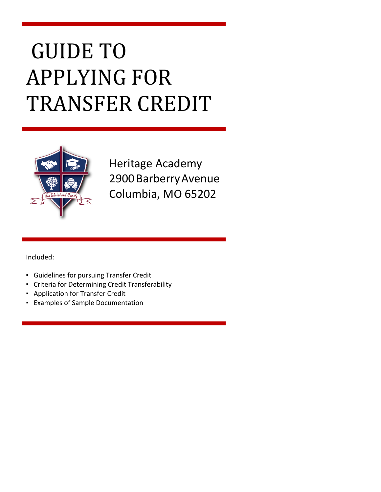# GUIDE TO APPLYING FOR TRANSFER CREDIT



Heritage Academy 2900 Barberry Avenue Columbia, MO 65202

Included:

- Guidelines for pursuing Transfer Credit
- Criteria for Determining Credit Transferability
- Application for Transfer Credit
- Examples of Sample Documentation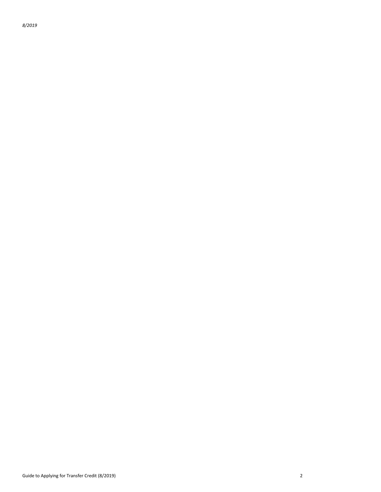*8/2019*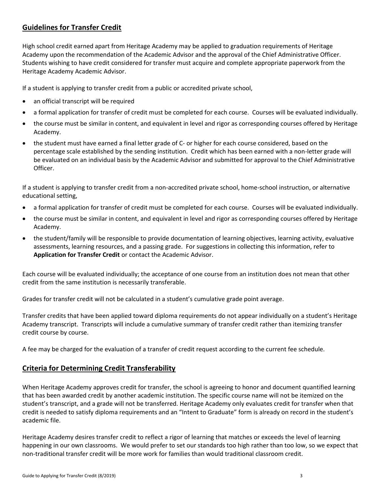# **Guidelines for Transfer Credit**

High school credit earned apart from Heritage Academy may be applied to graduation requirements of Heritage Academy upon the recommendation of the Academic Advisor and the approval of the Chief Administrative Officer. Students wishing to have credit considered for transfer must acquire and complete appropriate paperwork from the Heritage Academy Academic Advisor.

If a student is applying to transfer credit from a public or accredited private school,

- an official transcript will be required
- a formal application for transfer of credit must be completed for each course. Courses will be evaluated individually.
- the course must be similar in content, and equivalent in level and rigor as corresponding courses offered by Heritage Academy.
- the student must have earned a final letter grade of C- or higher for each course considered, based on the percentage scale established by the sending institution. Credit which has been earned with a non-letter grade will be evaluated on an individual basis by the Academic Advisor and submitted for approval to the Chief Administrative Officer.

If a student is applying to transfer credit from a non-accredited private school, home-school instruction, or alternative educational setting,

- a formal application for transfer of credit must be completed for each course. Courses will be evaluated individually.
- the course must be similar in content, and equivalent in level and rigor as corresponding courses offered by Heritage Academy.
- the student/family will be responsible to provide documentation of learning objectives, learning activity, evaluative assessments, learning resources, and a passing grade. For suggestions in collecting this information, refer to **Application for Transfer Credit** or contact the Academic Advisor.

Each course will be evaluated individually; the acceptance of one course from an institution does not mean that other credit from the same institution is necessarily transferable.

Grades for transfer credit will not be calculated in a student's cumulative grade point average.

Transfer credits that have been applied toward diploma requirements do not appear individually on a student's Heritage Academy transcript. Transcripts will include a cumulative summary of transfer credit rather than itemizing transfer credit course by course.

A fee may be charged for the evaluation of a transfer of credit request according to the current fee schedule.

# **Criteria for Determining Credit Transferability**

When Heritage Academy approves credit for transfer, the school is agreeing to honor and document quantified learning that has been awarded credit by another academic institution. The specific course name will not be itemized on the student's transcript, and a grade will not be transferred. Heritage Academy only evaluates credit for transfer when that credit is needed to satisfy diploma requirements and an "Intent to Graduate" form is already on record in the student's academic file.

Heritage Academy desires transfer credit to reflect a rigor of learning that matches or exceeds the level of learning happening in our own classrooms. We would prefer to set our standards too high rather than too low, so we expect that non-traditional transfer credit will be more work for families than would traditional classroom credit.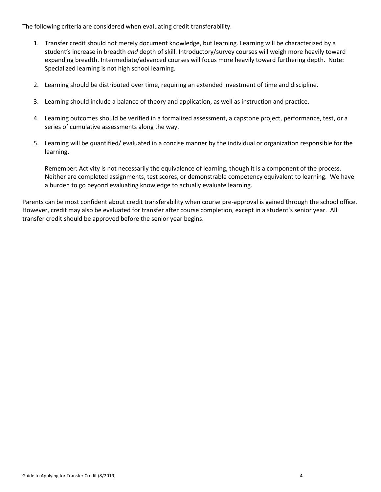The following criteria are considered when evaluating credit transferability.

- 1. Transfer credit should not merely document knowledge, but learning. Learning will be characterized by a student's increase in breadth *and* depth of skill. Introductory/survey courses will weigh more heavily toward expanding breadth. Intermediate/advanced courses will focus more heavily toward furthering depth. Note: Specialized learning is not high school learning.
- 2. Learning should be distributed over time, requiring an extended investment of time and discipline.
- 3. Learning should include a balance of theory and application, as well as instruction and practice.
- 4. Learning outcomes should be verified in a formalized assessment, a capstone project, performance, test, or a series of cumulative assessments along the way.
- 5. Learning will be quantified/ evaluated in a concise manner by the individual or organization responsible for the learning.

Remember: Activity is not necessarily the equivalence of learning, though it is a component of the process. Neither are completed assignments, test scores, or demonstrable competency equivalent to learning. We have a burden to go beyond evaluating knowledge to actually evaluate learning.

Parents can be most confident about credit transferability when course pre-approval is gained through the school office. However, credit may also be evaluated for transfer after course completion, except in a student's senior year. All transfer credit should be approved before the senior year begins.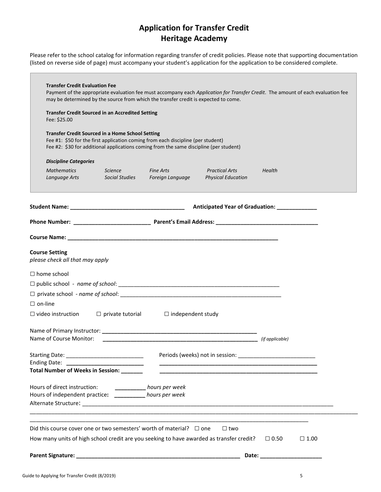# **Application for Transfer Credit Heritage Academy**

Please refer to the school catalog for information regarding transfer of credit policies. Please note that supporting documentation (listed on reverse side of page) must accompany your student's application for the application to be considered complete.

 $\overline{\phantom{a}}$ 

| <b>Transfer Credit Evaluation Fee</b>                    | Payment of the appropriate evaluation fee must accompany each Application for Transfer Credit. The amount of each evaluation fee<br>may be determined by the source from which the transfer credit is expected to come.               |                                                  |                                                                                                                                                                                                                                |                            |             |
|----------------------------------------------------------|---------------------------------------------------------------------------------------------------------------------------------------------------------------------------------------------------------------------------------------|--------------------------------------------------|--------------------------------------------------------------------------------------------------------------------------------------------------------------------------------------------------------------------------------|----------------------------|-------------|
| Fee: \$25.00                                             | <b>Transfer Credit Sourced in an Accredited Setting</b>                                                                                                                                                                               |                                                  |                                                                                                                                                                                                                                |                            |             |
|                                                          | <b>Transfer Credit Sourced in a Home School Setting</b><br>Fee #1: \$50 for the first application coming from each discipline (per student)<br>Fee #2: \$30 for additional applications coming from the same discipline (per student) |                                                  |                                                                                                                                                                                                                                |                            |             |
| <b>Discipline Categories</b>                             |                                                                                                                                                                                                                                       |                                                  |                                                                                                                                                                                                                                |                            |             |
| <b>Mathematics</b><br>Language Arts                      | Science<br><b>Social Studies</b>                                                                                                                                                                                                      | <b>Example 2 Fine Arts</b><br>Foreign Language   | <b>Practical Arts</b><br><b>Physical Education</b>                                                                                                                                                                             | Health                     |             |
|                                                          |                                                                                                                                                                                                                                       |                                                  |                                                                                                                                                                                                                                |                            |             |
|                                                          |                                                                                                                                                                                                                                       |                                                  |                                                                                                                                                                                                                                |                            |             |
|                                                          |                                                                                                                                                                                                                                       |                                                  |                                                                                                                                                                                                                                |                            |             |
| <b>Course Setting</b><br>please check all that may apply |                                                                                                                                                                                                                                       |                                                  |                                                                                                                                                                                                                                |                            |             |
| $\Box$ home school                                       |                                                                                                                                                                                                                                       |                                                  |                                                                                                                                                                                                                                |                            |             |
|                                                          |                                                                                                                                                                                                                                       |                                                  |                                                                                                                                                                                                                                |                            |             |
|                                                          |                                                                                                                                                                                                                                       |                                                  |                                                                                                                                                                                                                                |                            |             |
| $\Box$ on-line                                           |                                                                                                                                                                                                                                       |                                                  |                                                                                                                                                                                                                                |                            |             |
| $\Box$ video instruction                                 |                                                                                                                                                                                                                                       | $\Box$ private tutorial $\Box$ independent study |                                                                                                                                                                                                                                |                            |             |
|                                                          |                                                                                                                                                                                                                                       |                                                  |                                                                                                                                                                                                                                |                            |             |
| Name of Course Monitor:                                  |                                                                                                                                                                                                                                       |                                                  | (if applicable) and the contract of the contract of the contract of the contract of the contract of the contract of the contract of the contract of the contract of the contract of the contract of the contract of the contra |                            |             |
|                                                          |                                                                                                                                                                                                                                       |                                                  | Periods (weeks) not in session: ____________                                                                                                                                                                                   |                            |             |
|                                                          | Total Number of Weeks in Session: _______                                                                                                                                                                                             |                                                  | <u> 1999 - Johann John Harry, mars ar yn y brenin y brenin y brenin y brenin y brenin y brenin y brenin y brenin</u>                                                                                                           |                            |             |
| Hours of direct instruction:                             | Hours of independent practice: _________ hours per week                                                                                                                                                                               | _____________ hours per week                     |                                                                                                                                                                                                                                |                            |             |
|                                                          |                                                                                                                                                                                                                                       |                                                  |                                                                                                                                                                                                                                |                            |             |
|                                                          | Did this course cover one or two semesters' worth of material? $\Box$ one                                                                                                                                                             |                                                  | $\Box$ two                                                                                                                                                                                                                     |                            |             |
|                                                          | How many units of high school credit are you seeking to have awarded as transfer credit? $\Box$ 0.50                                                                                                                                  |                                                  |                                                                                                                                                                                                                                |                            | $\Box$ 1.00 |
|                                                          |                                                                                                                                                                                                                                       |                                                  |                                                                                                                                                                                                                                |                            |             |
|                                                          |                                                                                                                                                                                                                                       |                                                  |                                                                                                                                                                                                                                | Date: ____________________ |             |

П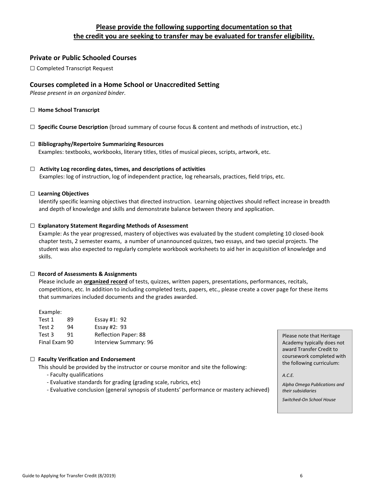# **Please provide the following supporting documentation so that the credit you are seeking to transfer may be evaluated for transfer eligibility.**

# **Private or Public Schooled Courses**

□ Completed Transcript Request

# **Courses completed in a Home School or Unaccredited Setting**

*Please present in an organized binder.*

- □ **Home School Transcript**
- □ **Specific Course Description** (broad summary of course focus & content and methods of instruction, etc.)

## □ **Bibliography/Repertoire Summarizing Resources** Examples: textbooks, workbooks, literary titles, titles of musical pieces, scripts, artwork, etc.

□ **Activity Log recording dates, times, and descriptions of activities** Examples: log of instruction, log of independent practice, log rehearsals, practices, field trips, etc.

#### □ **Learning Objectives**

Identify specific learning objectives that directed instruction. Learning objectives should reflect increase in breadth and depth of knowledge and skills and demonstrate balance between theory and application.

#### □ **Explanatory Statement Regarding Methods of Assessment**

Example: As the year progressed, mastery of objectives was evaluated by the student completing 10 closed-book chapter tests, 2 semester exams, a number of unannounced quizzes, two essays, and two special projects. The student was also expected to regularly complete workbook worksheets to aid her in acquisition of knowledge and skills.

#### □ **Record of Assessments & Assignments**

Please include an **organized record** of tests, quizzes, written papers, presentations, performances, recitals, competitions, etc. In addition to including completed tests, papers, etc., please create a cover page for these items that summarizes included documents and the grades awarded.

Example:

| Test 1        | 89 | Essay #1: $92$              |
|---------------|----|-----------------------------|
| Test 2        | 94 | Essay #2: $93$              |
| Test 3        | 91 | <b>Reflection Paper: 88</b> |
| Final Exam 90 |    | Interview Summary: 96       |

#### □ **Faculty Verification and Endorsement**

This should be provided by the instructor or course monitor and site the following:

- Faculty qualifications
- Evaluative standards for grading (grading scale, rubrics, etc)
- Evaluative conclusion (general synopsis of students' performance or mastery achieved)

Please note that Heritage Academy typically does not award Transfer Credit to coursework completed with the following curriculum:

*A.C.E.*

*Alpha Omega Publications and their subsidiaries* 

*Switched-On School House*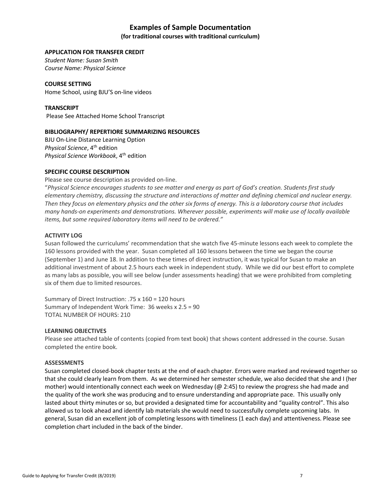# **Examples of Sample Documentation**

#### **(for traditional courses with traditional curriculum)**

#### **APPLICATION FOR TRANSFER CREDIT**

*Student Name: Susan Smith Course Name: Physical Science*

**COURSE SETTING** Home School, using BJU'S on-line videos

**TRANSCRIPT** Please See Attached Home School Transcript

#### **BIBLIOGRAPHY/ REPERTIORE SUMMARIZING RESOURCES**

BJU On-Line Distance Learning Option **Physical Science**, 4<sup>th</sup> edition *Physical Science Workbook*, 4th edition

#### **SPECIFIC COURSE DESCRIPTION**

Please see course description as provided on-line.

"*Physical Science encourages students to see matter and energy as part of God's creation. Students first study elementary chemistry, discussing the structure and interactions of matter and defining chemical and nuclear energy. Then they focus on elementary physics and the other six forms of energy. This is a laboratory course that includes many hands-on experiments and demonstrations. Wherever possible, experiments will make use of locally available items, but some required laboratory items will need to be ordered."*

#### **ACTIVITY LOG**

Susan followed the curriculums' recommendation that she watch five 45-minute lessons each week to complete the 160 lessons provided with the year. Susan completed all 160 lessons between the time we began the course (September 1) and June 18. In addition to these times of direct instruction, it was typical for Susan to make an additional investment of about 2.5 hours each week in independent study. While we did our best effort to complete as many labs as possible, you will see below (under assessments heading) that we were prohibited from completing six of them due to limited resources.

Summary of Direct Instruction: .75 x 160 = 120 hours Summary of Independent Work Time: 36 weeks x 2.5 = 90 TOTAL NUMBER OF HOURS: 210

#### **LEARNING OBJECTIVES**

Please see attached table of contents (copied from text book) that shows content addressed in the course. Susan completed the entire book.

#### **ASSESSMENTS**

Susan completed closed-book chapter tests at the end of each chapter. Errors were marked and reviewed together so that she could clearly learn from them. As we determined her semester schedule, we also decided that she and I (her mother) would intentionally connect each week on Wednesday (@ 2:45) to review the progress she had made and the quality of the work she was producing and to ensure understanding and appropriate pace. This usually only lasted about thirty minutes or so, but provided a designated time for accountability and "quality control". This also allowed us to look ahead and identify lab materials she would need to successfully complete upcoming labs. In general, Susan did an excellent job of completing lessons with timeliness (1 each day) and attentiveness. Please see completion chart included in the back of the binder.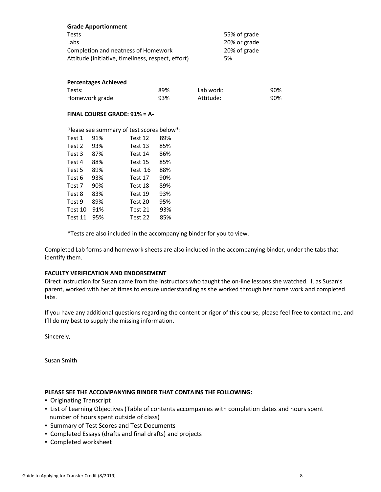| <b>Grade Apportionment</b>                         |              |
|----------------------------------------------------|--------------|
| <b>Tests</b>                                       | 55% of grade |
| Labs                                               | 20% or grade |
| Completion and neatness of Homework                | 20% of grade |
| Attitude (initiative, timeliness, respect, effort) | 5%           |

#### **Percentages Achieved**

| Tests:         | 89% | Lab work: | 90% |
|----------------|-----|-----------|-----|
| Homework grade | 93% | Attitude: | 90% |

#### **FINAL COURSE GRADE: 91% = A-**

| Please see summary of test scores below*: |  |  |
|-------------------------------------------|--|--|
|-------------------------------------------|--|--|

| Test 1  | 91% | Test 12 | 89% |
|---------|-----|---------|-----|
| Test 2  | 93% | Test 13 | 85% |
| Test 3  | 87% | Test 14 | 86% |
| Test 4  | 88% | Test 15 | 85% |
| Test 5  | 89% | Test 16 | 88% |
| Test 6  | 93% | Test 17 | 90% |
| Test 7  | 90% | Test 18 | 89% |
| Test 8  | 83% | Test 19 | 93% |
| Test 9  | 89% | Test 20 | 95% |
| Test 10 | 91% | Test 21 | 93% |
| Test 11 | 95% | Test 22 | 85% |

\*Tests are also included in the accompanying binder for you to view.

Completed Lab forms and homework sheets are also included in the accompanying binder, under the tabs that identify them.

## **FACULTY VERIFICATION AND ENDORSEMENT**

Direct instruction for Susan came from the instructors who taught the on-line lessons she watched. I, as Susan's parent, worked with her at times to ensure understanding as she worked through her home work and completed labs.

If you have any additional questions regarding the content or rigor of this course, please feel free to contact me, and I'll do my best to supply the missing information.

Sincerely,

Susan Smith

# **PLEASE SEE THE ACCOMPANYING BINDER THAT CONTAINS THE FOLLOWING:**

- Originating Transcript
- **.** List of Learning Objectives (Table of contents accompanies with completion dates and hours spent number of hours spent outside of class)
- Summary of Test Scores and Test Documents
- Completed Essays (drafts and final drafts) and projects
- Completed worksheet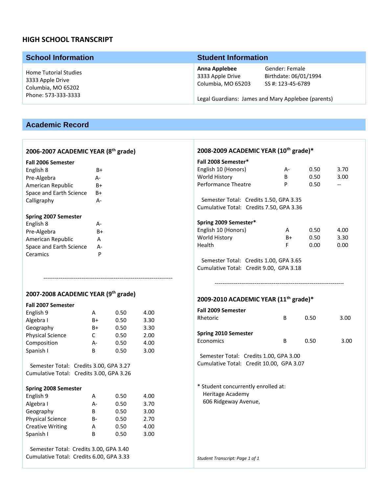# **HIGH SCHOOL TRANSCRIPT**

| <b>School Information</b>                                                                     | <b>Student Information</b>                              |                                                                                                                    |  |
|-----------------------------------------------------------------------------------------------|---------------------------------------------------------|--------------------------------------------------------------------------------------------------------------------|--|
| <b>Home Tutorial Studies</b><br>3333 Apple Drive<br>Columbia, MO 65202<br>Phone: 573-333-3333 | Anna Applebee<br>3333 Apple Drive<br>Columbia, MO 65203 | Gender: Female<br>Birthdate: 06/01/1994<br>SS #: 123-45-6789<br>Legal Guardians: James and Mary Applebee (parents) |  |

# **Academic Record**

# **2006-2007 ACADEMIC YEAR (8th grade)**

#### **Fall 2006 Semester**

| English 8                   | B+ |
|-----------------------------|----|
| Pre-Algebra                 | А- |
| American Republic           | B+ |
| Space and Earth Science     | B+ |
| Calligraphy                 | А- |
| <b>Spring 2007 Semester</b> |    |
| English 8                   | д- |
| Pre-Algebra                 | R+ |

| Pre-Algebra             | R+ |
|-------------------------|----|
| American Republic       | А  |
| Space and Earth Science | А- |
| Ceramics                | P  |
|                         |    |

# **2007-2008 ACADEMIC YEAR (9th grade)**

#### **Fall 2007 Semester**

| English 9               | А  | 0.50 | 4.00 |
|-------------------------|----|------|------|
| Algebra I               | B+ | 0.50 | 3.30 |
| Geography               | B+ | 0.50 | 3.30 |
| <b>Physical Science</b> | C  | 0.50 | 2.00 |
| Composition             | А- | 0.50 | 4.00 |
| Spanish I               | B  | 0.50 | 3.00 |
|                         |    |      |      |
|                         | .  |      |      |

--------------------------------------------------------------------

 Semester Total: Credits 3.00, GPA 3.27 Cumulative Total: Credits 3.00, GPA 3.26

#### **Spring 2008 Semester**

| English 9               | А  | 0.50 | 4.00 |
|-------------------------|----|------|------|
| Algebra I               | А- | 0.50 | 3.70 |
| Geography               | B  | 0.50 | 3.00 |
| <b>Physical Science</b> | B- | 0.50 | 2.70 |
| <b>Creative Writing</b> | А  | 0.50 | 4.00 |
| Spanish I               | B  | 0.50 | 3.00 |

 Semester Total: Credits 3.00, GPA 3.40 Cumulative Total: Credits 6.00, GPA 3.33

# **2008-2009 ACADEMIC YEAR (10th grade)\***

| Fall 2008 Semester*<br>English 10 (Honors)<br>World History<br>Performance Theatre | А-<br>B<br>P | 0.50<br>0.50<br>0.50 | 3.70<br>3.00         |  |
|------------------------------------------------------------------------------------|--------------|----------------------|----------------------|--|
| Semester Total: Credits 1.50, GPA 3.35<br>Cumulative Total: Credits 7.50, GPA 3.36 |              |                      |                      |  |
| Spring 2009 Semester*<br>English 10 (Honors)<br>World History<br>Health            | А<br>B+<br>F | 0.50<br>0.50<br>0.00 | 4.00<br>3.30<br>0.00 |  |

 Semester Total: Credits 1.00, GPA 3.65 Cumulative Total: Credit 9.00, GPA 3.18

# **2009-2010 ACADEMIC YEAR (11th grade)\***

| <b>Fall 2009 Semester</b><br>Rhetoric    | B | 0.50 | 3.00 |
|------------------------------------------|---|------|------|
| <b>Spring 2010 Semester</b><br>Economics | в | 0.50 | 3.00 |

--------------------------------------------------------------------

 Semester Total: Credits 1.00, GPA 3.00 Cumulative Total: Credit 10.00, GPA 3.07

\* Student concurrently enrolled at: Heritage Academy 606 Ridgeway Avenue,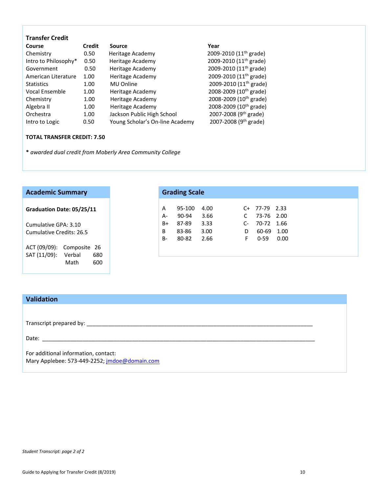| <b>Transfer Credit</b> |        |                                 |                                    |
|------------------------|--------|---------------------------------|------------------------------------|
| Course                 | Credit | Source                          | Year                               |
| Chemistry              | 0.50   | Heritage Academy                | 2009-2010 (11 <sup>th</sup> grade) |
| Intro to Philosophy*   | 0.50   | Heritage Academy                | 2009-2010 (11 <sup>th</sup> grade) |
| Government             | 0.50   | Heritage Academy                | 2009-2010 (11 <sup>th</sup> grade) |
| American Literature    | 1.00   | Heritage Academy                | 2009-2010 (11 <sup>th</sup> grade) |
| <b>Statistics</b>      | 1.00   | MU Online                       | 2009-2010 (11 <sup>th</sup> grade) |
| Vocal Ensemble         | 1.00   | Heritage Academy                | 2008-2009 (10 <sup>th</sup> grade) |
| Chemistry              | 1.00   | Heritage Academy                | 2008-2009 (10 <sup>th</sup> grade) |
| Algebra II             | 1.00   | Heritage Academy                | 2008-2009 (10 <sup>th</sup> grade) |
| Orchestra              | 1.00   | Jackson Public High School      | 2007-2008 (9 <sup>th</sup> grade)  |
| Intro to Logic         | 0.50   | Young Scholar's On-line Academy | 2007-2008 (9 <sup>th</sup> grade)  |
|                        |        |                                 |                                    |

# **TOTAL TRANSFER CREDIT: 7.50**

**\*** *awarded dual credit from Moberly Area Community College*

| <b>Academic Summary</b>       |  |           | <b>Grading Scale</b> |      |      |            |      |
|-------------------------------|--|-----------|----------------------|------|------|------------|------|
| Graduation Date: 05/25/11     |  | A         | 95-100               | 4.00 | C+   | 77-79 2.33 |      |
|                               |  | A-        | 90-94                | 3.66 | C    | 73-76 2.00 |      |
| Cumulative GPA: 3.10          |  | B+        | 87-89                | 3.33 | $C-$ | 70-72      | 1.66 |
| Cumulative Credits: 26.5      |  | B         | 83-86                | 3.00 | D    | 60-69      | 1.00 |
|                               |  | <b>B-</b> | 80-82                | 2.66 | F.   | $0 - 59$   | 0.00 |
| ACT (09/09):<br>Composite 26  |  |           |                      |      |      |            |      |
| SAT (11/09):<br>Verbal<br>680 |  |           |                      |      |      |            |      |
| 600<br>Math                   |  |           |                      |      |      |            |      |

| <b>Validation</b>                    |  |
|--------------------------------------|--|
|                                      |  |
|                                      |  |
| Date:                                |  |
| For additional information, contact: |  |

Mary Applebee: 573-449-2252; *jmdoe@domain.com*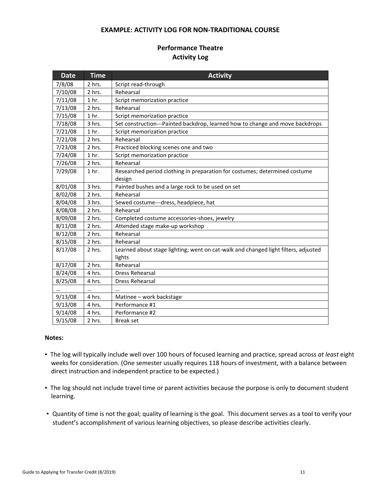## **EXAMPLE: ACTIVITY LOG FOR NON-TRADITIONAL COURSE**

# **Performance Theatre Activity Log**

| <b>Date</b> | <b>Time</b>      | <b>Activity</b>                                                                              |
|-------------|------------------|----------------------------------------------------------------------------------------------|
| 7/8/08      | 2 hrs.           | Script read-through                                                                          |
| 7/10/08     | 2 hrs.           | Rehearsal                                                                                    |
| 7/11/08     | 1 <sub>hr.</sub> | Script memorization practice                                                                 |
| 7/13/08     | 2 hrs.           | Rehearsal                                                                                    |
| 7/15/08     | 1 <sub>hr.</sub> | Script memorization practice                                                                 |
| 7/18/08     | 3 hrs.           | Set construction---Painted backdrop, learned how to change and move backdrops                |
| 7/21/08     | 1 <sub>hr.</sub> | Script memorization practice                                                                 |
| 7/21/08     | 2 hrs.           | Rehearsal                                                                                    |
| 7/23/08     | 2 hrs.           | Practiced blocking scenes one and two                                                        |
| 7/24/08     | 1 <sub>hr.</sub> | Script memorization practice                                                                 |
| 7/26/08     | 2 hrs.           | Rehearsal                                                                                    |
| 7/29/08     | 1 <sub>hr.</sub> | Researched period clothing in preparation for costumes; determined costume<br>design         |
| 8/01/08     | 3 hrs.           | Painted bushes and a large rock to be used on set                                            |
| 8/02/08     | 2 hrs.           | Rehearsal                                                                                    |
| 8/04/08     | 3 hrs.           | Sewed costume---dress, headpiece, hat                                                        |
| 8/08/08     | 2 hrs.           | Rehearsal                                                                                    |
| 8/09/08     | 2 hrs.           | Completed costume accessories-shoes, jewelry                                                 |
| 8/11/08     | 2 hrs.           | Attended stage make-up workshop                                                              |
| 8/12/08     | 2 hrs.           | Rehearsal                                                                                    |
| 8/15/08     | 2 hrs.           | Rehearsal                                                                                    |
| 8/17/08     | 2 hrs.           | Learned about stage lighting; went on cat-walk and changed light filters, adjusted<br>lights |
| 8/17/08     | 2 hrs.           | Rehearsal                                                                                    |
| 8/24/08     | 4 hrs.           | <b>Dress Rehearsal</b>                                                                       |
| 8/25/08     | 4 hrs.           | <b>Dress Rehearsal</b>                                                                       |
|             | $\cdots$         | $\cdots$                                                                                     |
| 9/13/08     | 4 hrs.           | Matinee - work backstage                                                                     |
| 9/13/08     | 4 hrs.           | Performance #1                                                                               |
| 9/14/08     | 4 hrs.           | Performance #2                                                                               |
| 9/15/08     | 2 hrs.           | <b>Break set</b>                                                                             |

# **Notes:**

- The log will typically include well over 100 hours of focused learning and practice, spread across *at least* eight weeks for consideration. (One semester usually requires 118 hours of investment, with a balance between direct instruction and independent practice to be expected.)
- The log should not include travel time or parent activities because the purpose is only to document student learning.
- Quantity of time is not the goal; quality of learning is the goal. This document serves as a tool to verify your student's accomplishment of various learning objectives, so please describe activities clearly.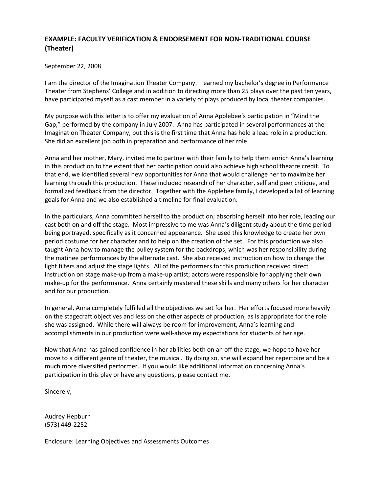# **EXAMPLE: FACULTY VERIFICATION & ENDORSEMENT FOR NON-TRADITIONAL COURSE (Theater)**

# September 22, 2008

I am the director of the Imagination Theater Company. I earned my bachelor's degree in Performance Theater from Stephens' College and in addition to directing more than 25 plays over the past ten years, I have participated myself as a cast member in a variety of plays produced by local theater companies.

My purpose with this letter is to offer my evaluation of Anna Applebee's participation in "Mind the Gap," performed by the company in July 2007. Anna has participated in several performances at the Imagination Theater Company, but this is the first time that Anna has held a lead role in a production. She did an excellent job both in preparation and performance of her role.

Anna and her mother, Mary, invited me to partner with their family to help them enrich Anna's learning in this production to the extent that her participation could also achieve high school theatre credit. To that end, we identified several new opportunities for Anna that would challenge her to maximize her learning through this production. These included research of her character, self and peer critique, and formalized feedback from the director. Together with the Applebee family, I developed a list of learning goals for Anna and we also established a timeline for final evaluation.

In the particulars, Anna committed herself to the production; absorbing herself into her role, leading our cast both on and off the stage. Most impressive to me was Anna's diligent study about the time period being portrayed, specifically as it concerned appearance. She used this knowledge to create her own period costume for her character and to help on the creation of the set. For this production we also taught Anna how to manage the pulley system for the backdrops, which was her responsibility during the matinee performances by the alternate cast. She also received instruction on how to change the light filters and adjust the stage lights. All of the performers for this production received direct instruction on stage make-up from a make-up artist; actors were responsible for applying their own make-up for the performance. Anna certainly mastered these skills and many others for her character and for our production.

In general, Anna completely fulfilled all the objectives we set for her. Her efforts focused more heavily on the stagecraft objectives and less on the other aspects of production, as is appropriate for the role she was assigned. While there will always be room for improvement, Anna's learning and accomplishments in our production were well-above my expectations for students of her age.

Now that Anna has gained confidence in her abilities both on an off the stage, we hope to have her move to a different genre of theater, the musical. By doing so, she will expand her repertoire and be a much more diversified performer. If you would like additional information concerning Anna's participation in this play or have any questions, please contact me.

Sincerely,

Audrey Hepburn (573) 449-2252

Enclosure: Learning Objectives and Assessments Outcomes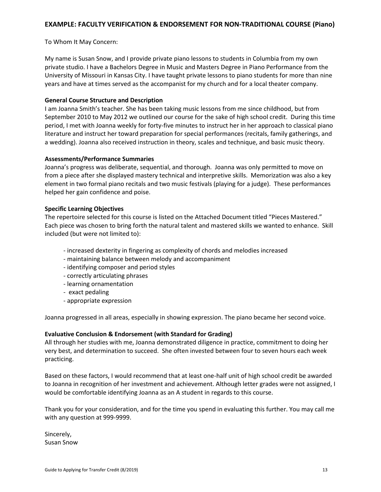# **EXAMPLE: FACULTY VERIFICATION & ENDORSEMENT FOR NON-TRADITIONAL COURSE (Piano)**

## To Whom It May Concern:

My name is Susan Snow, and I provide private piano lessons to students in Columbia from my own private studio. I have a Bachelors Degree in Music and Masters Degree in Piano Performance from the University of Missouri in Kansas City. I have taught private lessons to piano students for more than nine years and have at times served as the accompanist for my church and for a local theater company.

## **General Course Structure and Description**

I am Joanna Smith's teacher. She has been taking music lessons from me since childhood, but from September 2010 to May 2012 we outlined our course for the sake of high school credit. During this time period, I met with Joanna weekly for forty-five minutes to instruct her in her approach to classical piano literature and instruct her toward preparation for special performances (recitals, family gatherings, and a wedding). Joanna also received instruction in theory, scales and technique, and basic music theory.

## **Assessments/Performance Summaries**

Joanna's progress was deliberate, sequential, and thorough. Joanna was only permitted to move on from a piece after she displayed mastery technical and interpretive skills. Memorization was also a key element in two formal piano recitals and two music festivals (playing for a judge). These performances helped her gain confidence and poise.

## **Specific Learning Objectives**

The repertoire selected for this course is listed on the Attached Document titled "Pieces Mastered." Each piece was chosen to bring forth the natural talent and mastered skills we wanted to enhance. Skill included (but were not limited to):

- increased dexterity in fingering as complexity of chords and melodies increased
- maintaining balance between melody and accompaniment
- identifying composer and period styles
- correctly articulating phrases
- learning ornamentation
- exact pedaling
- appropriate expression

Joanna progressed in all areas, especially in showing expression. The piano became her second voice.

#### **Evaluative Conclusion & Endorsement (with Standard for Grading)**

All through her studies with me, Joanna demonstrated diligence in practice, commitment to doing her very best, and determination to succeed. She often invested between four to seven hours each week practicing.

Based on these factors, I would recommend that at least one-half unit of high school credit be awarded to Joanna in recognition of her investment and achievement. Although letter grades were not assigned, I would be comfortable identifying Joanna as an A student in regards to this course.

Thank you for your consideration, and for the time you spend in evaluating this further. You may call me with any question at 999-9999.

Sincerely, Susan Snow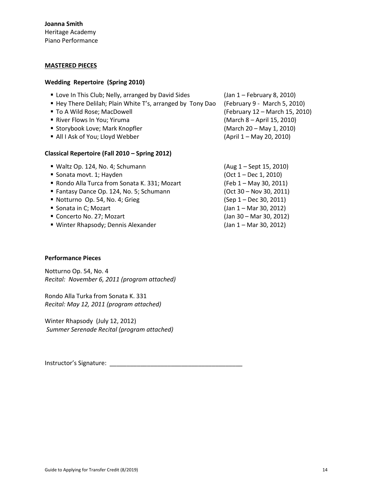#### **MASTERED PIECES**

#### **Wedding Repertoire (Spring 2010)**

| " Love In This Club; Nelly, arranged by David Sides<br>■ Hey There Delilah; Plain White T's, arranged by Tony Dao<br>■ To A Wild Rose; MacDowell<br>River Flows In You; Yiruma | (Jan 1 - February 8, 2010)<br>(February 9 - March 5, 2010)<br>(February 12 - March 15, 2010)<br>(March 8 - April 15, 2010) |  |  |
|--------------------------------------------------------------------------------------------------------------------------------------------------------------------------------|----------------------------------------------------------------------------------------------------------------------------|--|--|
| " Storybook Love; Mark Knopfler                                                                                                                                                | (March 20 - May 1, 2010)                                                                                                   |  |  |
| All I Ask of You; Lloyd Webber                                                                                                                                                 | (April 1 – May 20, 2010)                                                                                                   |  |  |
| Classical Repertoire (Fall 2010 - Spring 2012)                                                                                                                                 |                                                                                                                            |  |  |
| ■ Waltz Op. 124, No. 4; Schumann                                                                                                                                               | $(Aug 1 - Sept 15, 2010)$                                                                                                  |  |  |
| Sonata movt. 1; Hayden                                                                                                                                                         | $(Oct 1 - Dec 1, 2010)$                                                                                                    |  |  |
| • Rondo Alla Turca from Sonata K. 331; Mozart                                                                                                                                  | (Feb 1 - May 30, 2011)                                                                                                     |  |  |
| Fantasy Dance Op. 124, No. 5; Schumann                                                                                                                                         | $(Oct 30 - Nov 30, 2011)$                                                                                                  |  |  |
| Notturno Op. 54, No. 4; Grieg                                                                                                                                                  | (Sep 1 – Dec 30, 2011)                                                                                                     |  |  |
| Sonata in C; Mozart                                                                                                                                                            | (Jan 1 - Mar 30, 2012)                                                                                                     |  |  |
| ■ Concerto No. 27; Mozart                                                                                                                                                      | (Jan 30 - Mar 30, 2012)                                                                                                    |  |  |

■ Winter Rhapsody; Dennis Alexander (Jan 1 – Mar 30, 2012)

## **Performance Pieces**

Notturno Op. 54, No. 4 *Recital: November 6, 2011 (program attached)*

Rondo Alla Turka from Sonata K. 331 *Recital: May 12, 2011 (program attached)*

Winter Rhapsody (July 12, 2012) *Summer Serenade Recital (program attached)*

Instructor's Signature: \_\_\_\_\_\_\_\_\_\_\_\_\_\_\_\_\_\_\_\_\_\_\_\_\_\_\_\_\_\_\_\_\_\_\_\_\_\_\_